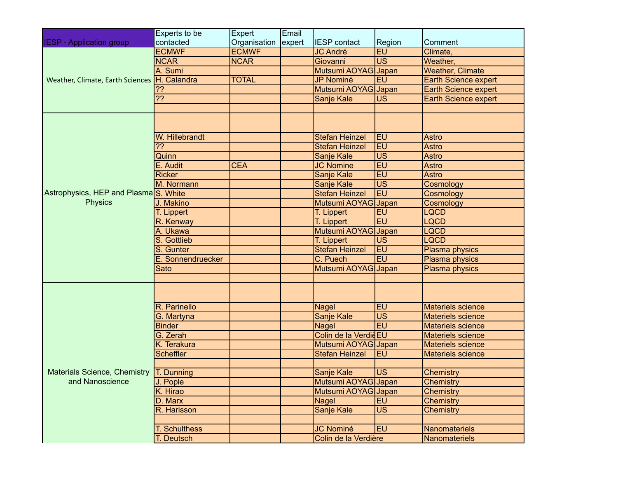|                                                                     | Experts to be        | Expert              | Email |                       |                 |                          |
|---------------------------------------------------------------------|----------------------|---------------------|-------|-----------------------|-----------------|--------------------------|
| <b>IESP</b> - Application group                                     | contacted            | Organisation expert |       | <b>IESP</b> contact   | Region          | Comment                  |
| Weather, Climate, Earth Sciences                                    | <b>ECMWF</b>         | <b>ECMWF</b>        |       | <b>JC André</b>       | EU              | Climate,                 |
|                                                                     | <b>NCAR</b>          | <b>NCAR</b>         |       | Giovanni              | $\overline{US}$ | Weather,                 |
|                                                                     | A. Sumi              |                     |       | Mutsumi AOYAG Japan   |                 | <b>Weather, Climate</b>  |
|                                                                     | H. Calandra          | <b>TOTAL</b>        |       | JP Nominé             | EU              | Earth Science expert     |
|                                                                     | ??                   |                     |       | Mutsumi AOYAG Japan   |                 | Earth Science expert     |
|                                                                     | $\overline{??}$      |                     |       | Sanje Kale            | <b>US</b>       | Earth Science expert     |
|                                                                     |                      |                     |       |                       |                 |                          |
|                                                                     |                      |                     |       |                       |                 |                          |
| Astrophysics, HEP and Plasma <sub>S</sub> . White<br><b>Physics</b> | W. Hillebrandt       |                     |       | <b>Stefan Heinzel</b> | <b>EU</b>       | Astro                    |
|                                                                     | 22                   |                     |       | <b>Stefan Heinzel</b> | EU              | Astro                    |
|                                                                     | Quinn                |                     |       | Sanje Kale            | <b>US</b>       | Astro                    |
|                                                                     | E. Audit             | <b>CEA</b>          |       | <b>JC Nomine</b>      | EU              | Astro                    |
|                                                                     | <b>Ricker</b>        |                     |       | Sanje Kale            | EU              | Astro                    |
|                                                                     | M. Normann           |                     |       | Sanje Kale            | <b>US</b>       | Cosmology                |
|                                                                     |                      |                     |       | <b>Stefan Heinzel</b> | EU              | Cosmology                |
|                                                                     | J. Makino            |                     |       | Mutsumi AOYAG         | Japan           | Cosmology                |
|                                                                     | T. Lippert           |                     |       | T. Lippert            | EU              | <b>LQCD</b>              |
|                                                                     | R. Kenway            |                     |       | T. Lippert            | EU              | <b>LQCD</b>              |
|                                                                     | A. Ukawa             |                     |       | Mutsumi AOYAG         | <b>Japan</b>    | <b>LQCD</b>              |
|                                                                     | S. Gottlieb          |                     |       | T. Lippert            | <b>US</b>       | <b>LQCD</b>              |
|                                                                     | S. Gunter            |                     |       | <b>Stefan Heinzel</b> | EU              | Plasma physics           |
|                                                                     | E. Sonnendruecker    |                     |       | C. Puech              | EU              | Plasma physics           |
|                                                                     | Sato                 |                     |       | Mutsumi AOYAG Japan   |                 | Plasma physics           |
|                                                                     |                      |                     |       |                       |                 |                          |
|                                                                     |                      |                     |       |                       |                 |                          |
| Materials Science, Chemistry <b>T. Dunning</b><br>and Nanoscience   | R. Parinello         |                     |       | <b>Nagel</b>          | EU              | <b>Materiels science</b> |
|                                                                     | G. Martyna           |                     |       | Sanje Kale            | $\overline{US}$ | <b>Materiels science</b> |
|                                                                     | <b>Binder</b>        |                     |       | <b>Nagel</b>          | EU              | Materiels science        |
|                                                                     | G. Zerah             |                     |       | Colin de la VerdièEU  |                 | Materiels science        |
|                                                                     | K. Terakura          |                     |       | Mutsumi AOYAG Japan   |                 | <b>Materiels science</b> |
|                                                                     | <b>Scheffler</b>     |                     |       | <b>Stefan Heinzel</b> | EU              | Materiels science        |
|                                                                     |                      |                     |       |                       |                 |                          |
|                                                                     |                      |                     |       | Sanje Kale            | <b>US</b>       | <b>Chemistry</b>         |
|                                                                     | J. Pople             |                     |       | Mutsumi AOYAG Japan   |                 | <b>Chemistry</b>         |
|                                                                     | K. Hirao             |                     |       | Mutsumi AOYAG Japan   |                 | <b>Chemistry</b>         |
|                                                                     | D. Marx              |                     |       | Nagel                 | <b>EU</b>       | Chemistry                |
|                                                                     | R. Harisson          |                     |       | Sanje Kale            | $\overline{US}$ | Chemistry                |
|                                                                     |                      |                     |       |                       |                 |                          |
|                                                                     | <b>T. Schulthess</b> |                     |       | <b>JC Nominé</b>      | EU              | Nanomateriels            |
|                                                                     | T. Deutsch           |                     |       | Colin de la Verdière  |                 | Nanomateriels            |